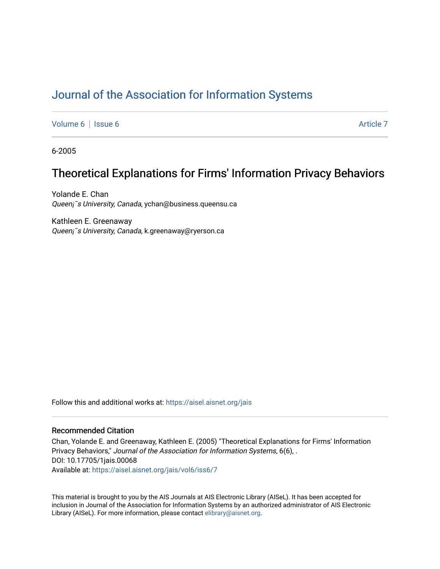# [Journal of the Association for Information Systems](https://aisel.aisnet.org/jais)

[Volume 6](https://aisel.aisnet.org/jais/vol6) | [Issue 6](https://aisel.aisnet.org/jais/vol6/iss6) Article 7

6-2005

# Theoretical Explanations for Firms' Information Privacy Behaviors

Yolande E. Chan Queen¡<sup>-</sup>s University, Canada, ychan@business.queensu.ca

Kathleen E. Greenaway Queen¡¯s University, Canada, k.greenaway@ryerson.ca

Follow this and additional works at: https://aisel.aisnet.org/jais

#### Recommended Citation

Chan, Yolande E. and Greenaway, Kathleen E. (2005) "Theoretical Explanations for Firms' Information Privacy Behaviors," Journal of the Association for Information Systems, 6(6), . DOI: 10.17705/1jais.00068 Available at: [https://aisel.aisnet.org/jais/vol6/iss6/7](https://aisel.aisnet.org/jais/vol6/iss6/7?utm_source=aisel.aisnet.org%2Fjais%2Fvol6%2Fiss6%2F7&utm_medium=PDF&utm_campaign=PDFCoverPages) 

This material is brought to you by the AIS Journals at AIS Electronic Library (AISeL). It has been accepted for inclusion in Journal of the Association for Information Systems by an authorized administrator of AIS Electronic Library (AISeL). For more information, please contact [elibrary@aisnet.org.](mailto:elibrary@aisnet.org%3E)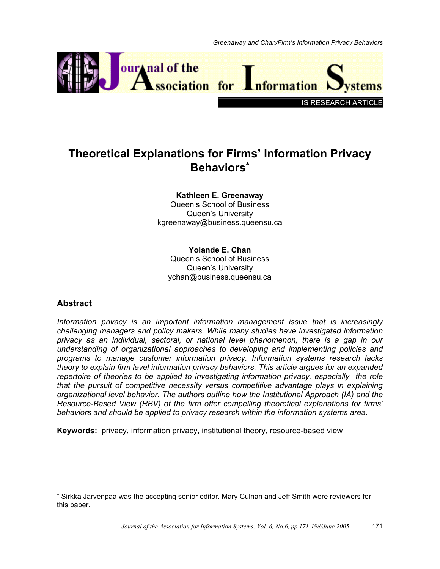

# **Theoretical Explanations for Firms' Information Privacy Behaviors**<sup>∗</sup>

### **Kathleen E. Greenaway**  Queen's School of Business Queen's University kgreenaway@business.queensu.ca

## **Yolande E. Chan**  Queen's School of Business Queen's University ychan@business.queensu.ca

# **Abstract**

 $\overline{a}$ 

*Information privacy is an important information management issue that is increasingly challenging managers and policy makers. While many studies have investigated information privacy as an individual, sectoral, or national level phenomenon, there is a gap in our understanding of organizational approaches to developing and implementing policies and programs to manage customer information privacy. Information systems research lacks theory to explain firm level information privacy behaviors. This article argues for an expanded repertoire of theories to be applied to investigating information privacy, especially the role that the pursuit of competitive necessity versus competitive advantage plays in explaining organizational level behavior. The authors outline how the Institutional Approach (IA) and the Resource-Based View (RBV) of the firm offer compelling theoretical explanations for firms' behaviors and should be applied to privacy research within the information systems area.* 

**Keywords:** privacy, information privacy, institutional theory, resource-based view

<sup>∗</sup> Sirkka Jarvenpaa was the accepting senior editor. Mary Culnan and Jeff Smith were reviewers for this paper.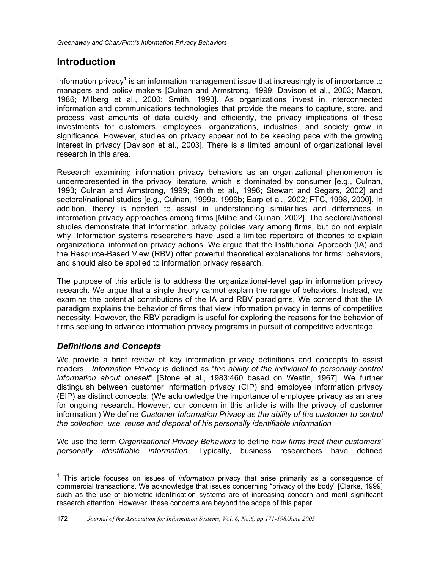# **Introduction**

Information privacy<sup>1</sup> is an information management issue that increasingly is of importance to managers and policy makers [Culnan and Armstrong, 1999; Davison et al., 2003; Mason, 1986; Milberg et al., 2000; Smith, 1993]. As organizations invest in interconnected information and communications technologies that provide the means to capture, store, and process vast amounts of data quickly and efficiently, the privacy implications of these investments for customers, employees, organizations, industries, and society grow in significance. However, studies on privacy appear not to be keeping pace with the growing interest in privacy [Davison et al., 2003]. There is a limited amount of organizational level research in this area.

Research examining information privacy behaviors as an organizational phenomenon is underrepresented in the privacy literature, which is dominated by consumer [e.g., Culnan, 1993; Culnan and Armstrong, 1999; Smith et al., 1996; Stewart and Segars, 2002] and sectoral/national studies [e.g., Culnan, 1999a, 1999b; Earp et al., 2002; FTC, 1998, 2000]. In addition, theory is needed to assist in understanding similarities and differences in information privacy approaches among firms [Milne and Culnan, 2002]. The sectoral/national studies demonstrate that information privacy policies vary among firms, but do not explain why. Information systems researchers have used a limited repertoire of theories to explain organizational information privacy actions. We argue that the Institutional Approach (IA) and the Resource-Based View (RBV) offer powerful theoretical explanations for firms' behaviors, and should also be applied to information privacy research.

The purpose of this article is to address the organizational-level gap in information privacy research. We argue that a single theory cannot explain the range of behaviors. Instead, we examine the potential contributions of the IA and RBV paradigms. We contend that the IA paradigm explains the behavior of firms that view information privacy in terms of competitive necessity. However, the RBV paradigm is useful for exploring the reasons for the behavior of firms seeking to advance information privacy programs in pursuit of competitive advantage.

# *Definitions and Concepts*

We provide a brief review of key information privacy definitions and concepts to assist readers. *Information Privacy* is defined as "*the ability of the individual to personally control information about oneself*" [Stone et al., 1983:460 based on Westin, 1967]. We further distinguish between customer information privacy (CIP) and employee information privacy (EIP) as distinct concepts. (We acknowledge the importance of employee privacy as an area for ongoing research. However, our concern in this article is with the privacy of customer information.) We define *Customer Information Privacy* as *the ability of the customer to control the collection, use, reuse and disposal of his personally identifiable information*

We use the term *Organizational Privacy Behaviors* to define *how firms treat their customers' personally identifiable information*. Typically, business researchers have defined

 $\overline{a}$ <sup>1</sup> This article focuses on issues of *information* privacy that arise primarily as a consequence of commercial transactions. We acknowledge that issues concerning "privacy of the body" [Clarke, 1999] such as the use of biometric identification systems are of increasing concern and merit significant research attention. However, these concerns are beyond the scope of this paper.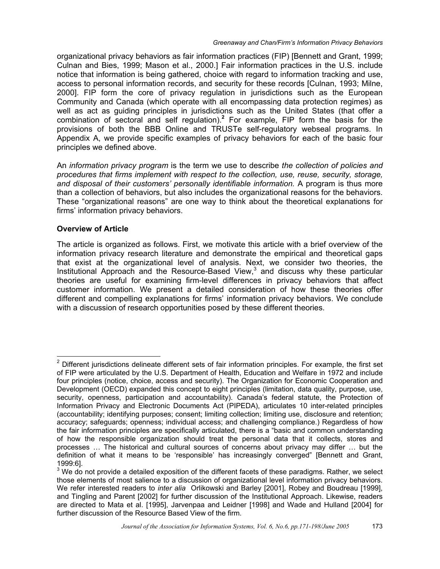organizational privacy behaviors as fair information practices (FIP) [Bennett and Grant, 1999; Culnan and Bies, 1999; Mason et al., 2000.] Fair information practices in the U.S. include notice that information is being gathered, choice with regard to information tracking and use, access to personal information records, and security for these records [Culnan, 1993; Milne, 2000]. FIP form the core of privacy regulation in jurisdictions such as the European Community and Canada (which operate with all encompassing data protection regimes) as well as act as guiding principles in jurisdictions such as the United States (that offer a combination of sectoral and self regulation).**<sup>2</sup>** For example, FIP form the basis for the provisions of both the BBB Online and TRUSTe self-regulatory webseal programs. In Appendix A, we provide specific examples of privacy behaviors for each of the basic four principles we defined above.

An *information privacy program* is the term we use to describe *the collection of policies and procedures that firms implement with respect to the collection, use, reuse, security, storage, and disposal of their customers' personally identifiable information.* A program is thus more than a collection of behaviors, but also includes the organizational reasons for the behaviors. These "organizational reasons" are one way to think about the theoretical explanations for firms' information privacy behaviors.

### **Overview of Article**

The article is organized as follows. First, we motivate this article with a brief overview of the information privacy research literature and demonstrate the empirical and theoretical gaps that exist at the organizational level of analysis. Next, we consider two theories, the Institutional Approach and the Resource-Based View, $3$  and discuss why these particular theories are useful for examining firm-level differences in privacy behaviors that affect customer information. We present a detailed consideration of how these theories offer different and compelling explanations for firms' information privacy behaviors. We conclude with a discussion of research opportunities posed by these different theories.

**ENET 12**<br><sup>2</sup> Different jurisdictions delineate different sets of fair information principles. For example, the first set of FIP were articulated by the U.S. Department of Health, Education and Welfare in 1972 and include four principles (notice, choice, access and security). The Organization for Economic Cooperation and Development (OECD) expanded this concept to eight principles (limitation, data quality, purpose, use, security, openness, participation and accountability). Canada's federal statute, the Protection of Information Privacy and Electronic Documents Act (PIPEDA), articulates 10 inter-related principles (accountability; identifying purposes; consent; limiting collection; limiting use, disclosure and retention; accuracy; safeguards; openness; individual access; and challenging compliance.) Regardless of how the fair information principles are specifically articulated, there is a "basic and common understanding of how the responsible organization should treat the personal data that it collects, stores and processes … The historical and cultural sources of concerns about privacy may differ … but the definition of what it means to be 'responsible' has increasingly converged" [Bennett and Grant, 1999:6].

 $3$  We do not provide a detailed exposition of the different facets of these paradigms. Rather, we select those elements of most salience to a discussion of organizational level information privacy behaviors. We refer interested readers to *inter alia* Orlikowski and Barley [2001], Robey and Boudreau [1999], and Tingling and Parent [2002] for further discussion of the Institutional Approach. Likewise, readers are directed to Mata et al. [1995], Jarvenpaa and Leidner [1998] and Wade and Hulland [2004] for further discussion of the Resource Based View of the firm.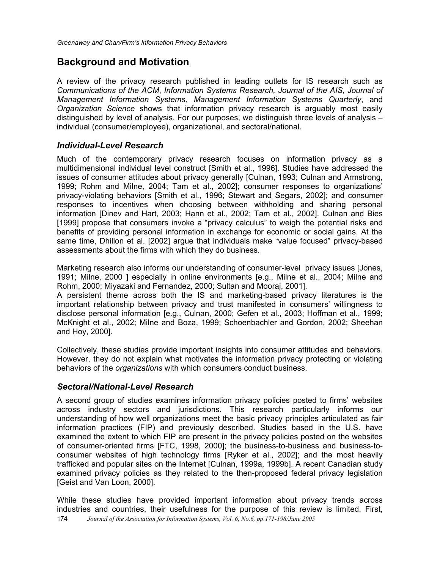# **Background and Motivation**

A review of the privacy research published in leading outlets for IS research such as *Communications of the ACM*, *Information Systems Research, Journal of the AIS, Journal of Management Information Systems, Management Information Systems Quarterly*, and *Organization Science* shows that information privacy research is arguably most easily distinguished by level of analysis. For our purposes, we distinguish three levels of analysis – individual (consumer/employee), organizational, and sectoral/national.

## *Individual-Level Research*

Much of the contemporary privacy research focuses on information privacy as a multidimensional individual level construct [Smith et al., 1996]. Studies have addressed the issues of consumer attitudes about privacy generally [Culnan, 1993; Culnan and Armstrong, 1999; Rohm and Milne, 2004; Tam et al., 2002]; consumer responses to organizations' privacy-violating behaviors [Smith et al., 1996; Stewart and Segars, 2002]; and consumer responses to incentives when choosing between withholding and sharing personal information [Dinev and Hart, 2003; Hann et al., 2002; Tam et al., 2002]. Culnan and Bies [1999] propose that consumers invoke a "privacy calculus" to weigh the potential risks and benefits of providing personal information in exchange for economic or social gains. At the same time, Dhillon et al. [2002] argue that individuals make "value focused" privacy-based assessments about the firms with which they do business.

Marketing research also informs our understanding of consumer-level privacy issues [Jones, 1991; Milne, 2000 ] especially in online environments [e.g., Milne et al., 2004; Milne and Rohm, 2000; Miyazaki and Fernandez, 2000; Sultan and Mooraj, 2001].

A persistent theme across both the IS and marketing-based privacy literatures is the important relationship between privacy and trust manifested in consumers' willingness to disclose personal information [e.g., Culnan, 2000; Gefen et al., 2003; Hoffman et al., 1999; McKnight et al., 2002; Milne and Boza, 1999; Schoenbachler and Gordon, 2002; Sheehan and Hoy, 2000].

Collectively, these studies provide important insights into consumer attitudes and behaviors. However, they do not explain what motivates the information privacy protecting or violating behaviors of the *organizations* with which consumers conduct business.

## *Sectoral/National-Level Research*

A second group of studies examines information privacy policies posted to firms' websites across industry sectors and jurisdictions. This research particularly informs our understanding of how well organizations meet the basic privacy principles articulated as fair information practices (FIP) and previously described. Studies based in the U.S. have examined the extent to which FIP are present in the privacy policies posted on the websites of consumer-oriented firms [FTC, 1998, 2000]; the business-to-business and business-toconsumer websites of high technology firms [Ryker et al., 2002]; and the most heavily trafficked and popular sites on the Internet [Culnan, 1999a, 1999b]. A recent Canadian study examined privacy policies as they related to the then-proposed federal privacy legislation [Geist and Van Loon, 2000].

174 *Journal of the Association for Information Systems, Vol. 6, No.6, pp.171-198/June 2005* While these studies have provided important information about privacy trends across industries and countries, their usefulness for the purpose of this review is limited. First,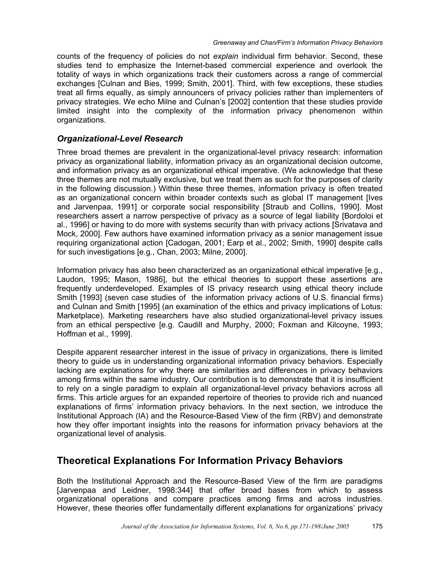counts of the frequency of policies do not *explain* individual firm behavior. Second, these studies tend to emphasize the Internet-based commercial experience and overlook the totality of ways in which organizations track their customers across a range of commercial exchanges [Culnan and Bies, 1999; Smith, 2001]. Third, with few exceptions, these studies treat all firms equally, as simply announcers of privacy policies rather than implementers of privacy strategies. We echo Milne and Culnan's [2002] contention that these studies provide limited insight into the complexity of the information privacy phenomenon within organizations.

## *Organizational-Level Research*

Three broad themes are prevalent in the organizational-level privacy research: information privacy as organizational liability, information privacy as an organizational decision outcome, and information privacy as an organizational ethical imperative. (We acknowledge that these three themes are not mutually exclusive, but we treat them as such for the purposes of clarity in the following discussion.) Within these three themes, information privacy is often treated as an organizational concern within broader contexts such as global IT management [Ives and Jarvenpaa, 1991] or corporate social responsibility [Straub and Collins, 1990]. Most researchers assert a narrow perspective of privacy as a source of legal liability [Bordoloi et al., 1996] or having to do more with systems security than with privacy actions [Srivatava and Mock, 2000]. Few authors have examined information privacy as a senior management issue requiring organizational action [Cadogan, 2001; Earp et al., 2002; Smith, 1990] despite calls for such investigations [e.g., Chan, 2003; Milne, 2000].

Information privacy has also been characterized as an organizational ethical imperative [e.g., Laudon, 1995; Mason, 1986], but the ethical theories to support these assertions are frequently underdeveloped. Examples of IS privacy research using ethical theory include Smith [1993] (seven case studies of the information privacy actions of U.S. financial firms) and Culnan and Smith [1995] (an examination of the ethics and privacy implications of Lotus: Marketplace). Marketing researchers have also studied organizational-level privacy issues from an ethical perspective [e.g. Caudill and Murphy, 2000; Foxman and Kilcoyne, 1993; Hoffman et al., 1999].

Despite apparent researcher interest in the issue of privacy in organizations, there is limited theory to guide us in understanding organizational information privacy behaviors. Especially lacking are explanations for why there are similarities and differences in privacy behaviors among firms within the same industry. Our contribution is to demonstrate that it is insufficient to rely on a single paradigm to explain all organizational-level privacy behaviors across all firms. This article argues for an expanded repertoire of theories to provide rich and nuanced explanations of firms' information privacy behaviors. In the next section, we introduce the Institutional Approach (IA) and the Resource-Based View of the firm (RBV) and demonstrate how they offer important insights into the reasons for information privacy behaviors at the organizational level of analysis.

# **Theoretical Explanations For Information Privacy Behaviors**

Both the Institutional Approach and the Resource-Based View of the firm are paradigms [Jarvenpaa and Leidner, 1998:344] that offer broad bases from which to assess organizational operations and compare practices among firms and across industries. However, these theories offer fundamentally different explanations for organizations' privacy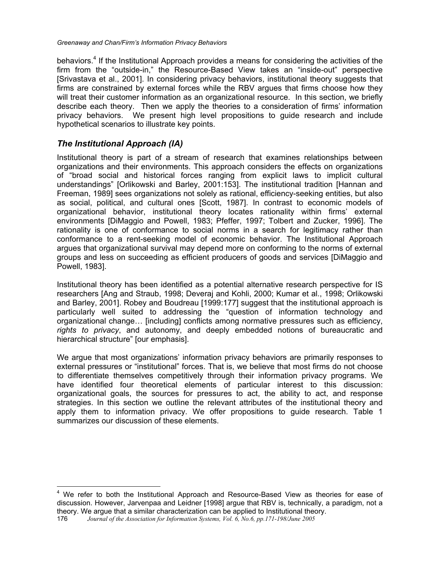behaviors.<sup>4</sup> If the Institutional Approach provides a means for considering the activities of the firm from the "outside-in," the Resource-Based View takes an "inside-out" perspective [Srivastava et al., 2001]. In considering privacy behaviors, institutional theory suggests that firms are constrained by external forces while the RBV argues that firms choose how they will treat their customer information as an organizational resource. In this section, we briefly describe each theory. Then we apply the theories to a consideration of firms' information privacy behaviors. We present high level propositions to guide research and include hypothetical scenarios to illustrate key points.

# *The Institutional Approach (IA)*

 $\overline{a}$ 

Institutional theory is part of a stream of research that examines relationships between organizations and their environments. This approach considers the effects on organizations of "broad social and historical forces ranging from explicit laws to implicit cultural understandings" [Orlikowski and Barley, 2001:153]. The institutional tradition [Hannan and Freeman, 1989] sees organizations not solely as rational, efficiency-seeking entities, but also as social, political, and cultural ones [Scott, 1987]. In contrast to economic models of organizational behavior, institutional theory locates rationality within firms' external environments [DiMaggio and Powell, 1983; Pfeffer, 1997; Tolbert and Zucker, 1996]. The rationality is one of conformance to social norms in a search for legitimacy rather than conformance to a rent-seeking model of economic behavior. The Institutional Approach argues that organizational survival may depend more on conforming to the norms of external groups and less on succeeding as efficient producers of goods and services [DiMaggio and Powell, 1983].

Institutional theory has been identified as a potential alternative research perspective for IS researchers [Ang and Straub, 1998; Deveraj and Kohli, 2000; Kumar et al., 1998; Orlikowski and Barley, 2001]. Robey and Boudreau [1999:177] suggest that the institutional approach is particularly well suited to addressing the "question of information technology and organizational change… [including] conflicts among normative pressures such as efficiency, *rights to privacy*, and autonomy, and deeply embedded notions of bureaucratic and hierarchical structure" [our emphasis].

We argue that most organizations' information privacy behaviors are primarily responses to external pressures or "institutional" forces. That is, we believe that most firms do not choose to differentiate themselves competitively through their information privacy programs. We have identified four theoretical elements of particular interest to this discussion: organizational goals, the sources for pressures to act, the ability to act, and response strategies. In this section we outline the relevant attributes of the institutional theory and apply them to information privacy. We offer propositions to guide research. Table 1 summarizes our discussion of these elements.

<sup>&</sup>lt;sup>4</sup> We refer to both the Institutional Approach and Resource-Based View as theories for ease of discussion. However, Jarvenpaa and Leidner [1998] argue that RBV is, technically, a paradigm, not a theory. We argue that a similar characterization can be applied to Institutional theory.

<sup>176</sup> *Journal of the Association for Information Systems, Vol. 6, No.6, pp.171-198/June 2005*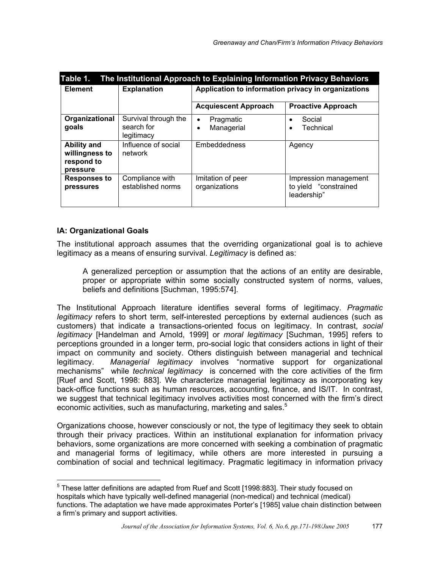| Table 1.<br>The Institutional Approach to Explaining Information Privacy Behaviors |                                                  |                                                     |                                                               |  |
|------------------------------------------------------------------------------------|--------------------------------------------------|-----------------------------------------------------|---------------------------------------------------------------|--|
| <b>Element</b>                                                                     | <b>Explanation</b>                               | Application to information privacy in organizations |                                                               |  |
|                                                                                    |                                                  | <b>Acquiescent Approach</b>                         | <b>Proactive Approach</b>                                     |  |
| Organizational<br>goals                                                            | Survival through the<br>search for<br>legitimacy | Pragmatic<br>$\bullet$<br>Managerial<br>$\bullet$   | Social<br>Technical                                           |  |
| <b>Ability and</b><br>willingness to<br>respond to<br>pressure                     | Influence of social<br>network                   | Embeddedness                                        | Agency                                                        |  |
| <b>Responses to</b><br>pressures                                                   | Compliance with<br>established norms             | Imitation of peer<br>organizations                  | Impression management<br>to yield "constrained<br>leadership" |  |

## **IA: Organizational Goals**

The institutional approach assumes that the overriding organizational goal is to achieve legitimacy as a means of ensuring survival. *Legitimacy* is defined as:

A generalized perception or assumption that the actions of an entity are desirable, proper or appropriate within some socially constructed system of norms, values, beliefs and definitions [Suchman, 1995:574].

The Institutional Approach literature identifies several forms of legitimacy. *Pragmatic legitimacy* refers to short term, self-interested perceptions by external audiences (such as customers) that indicate a transactions-oriented focus on legitimacy. In contrast, *social legitimacy* [Handelman and Arnold, 1999] or *moral legitimacy* [Suchman, 1995] refers to perceptions grounded in a longer term, pro-social logic that considers actions in light of their impact on community and society. Others distinguish between managerial and technical legitimacy. *Managerial legitimacy* involves "normative support for organizational mechanisms" while *technical legitimacy* is concerned with the core activities of the firm [Ruef and Scott, 1998: 883]. We characterize managerial legitimacy as incorporating key back-office functions such as human resources, accounting, finance, and IS/IT. In contrast, we suggest that technical legitimacy involves activities most concerned with the firm's direct economic activities, such as manufacturing, marketing and sales.<sup>5</sup>

Organizations choose, however consciously or not, the type of legitimacy they seek to obtain through their privacy practices. Within an institutional explanation for information privacy behaviors, some organizations are more concerned with seeking a combination of pragmatic and managerial forms of legitimacy, while others are more interested in pursuing a combination of social and technical legitimacy. Pragmatic legitimacy in information privacy

 5 These latter definitions are adapted from Ruef and Scott [1998:883]. Their study focused on hospitals which have typically well-defined managerial (non-medical) and technical (medical) functions. The adaptation we have made approximates Porter's [1985] value chain distinction between a firm's primary and support activities.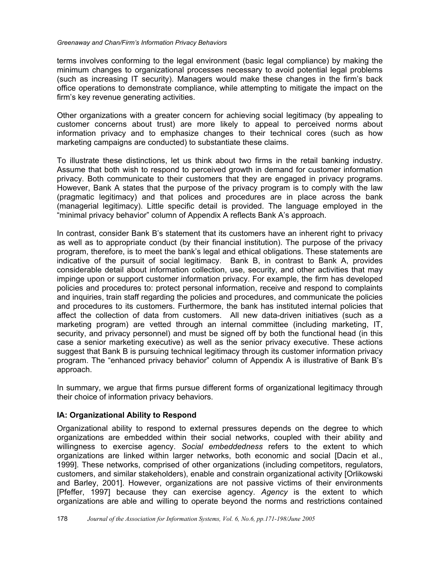terms involves conforming to the legal environment (basic legal compliance) by making the minimum changes to organizational processes necessary to avoid potential legal problems (such as increasing IT security). Managers would make these changes in the firm's back office operations to demonstrate compliance, while attempting to mitigate the impact on the firm's key revenue generating activities.

Other organizations with a greater concern for achieving social legitimacy (by appealing to customer concerns about trust) are more likely to appeal to perceived norms about information privacy and to emphasize changes to their technical cores (such as how marketing campaigns are conducted) to substantiate these claims.

To illustrate these distinctions, let us think about two firms in the retail banking industry. Assume that both wish to respond to perceived growth in demand for customer information privacy. Both communicate to their customers that they are engaged in privacy programs. However, Bank A states that the purpose of the privacy program is to comply with the law (pragmatic legitimacy) and that polices and procedures are in place across the bank (managerial legitimacy). Little specific detail is provided. The language employed in the "minimal privacy behavior" column of Appendix A reflects Bank A's approach.

In contrast, consider Bank B's statement that its customers have an inherent right to privacy as well as to appropriate conduct (by their financial institution). The purpose of the privacy program, therefore, is to meet the bank's legal and ethical obligations. These statements are indicative of the pursuit of social legitimacy. Bank B, in contrast to Bank A, provides considerable detail about information collection, use, security, and other activities that may impinge upon or support customer information privacy. For example, the firm has developed policies and procedures to: protect personal information, receive and respond to complaints and inquiries, train staff regarding the policies and procedures, and communicate the policies and procedures to its customers. Furthermore, the bank has instituted internal policies that affect the collection of data from customers. All new data-driven initiatives (such as a marketing program) are vetted through an internal committee (including marketing, IT, security, and privacy personnel) and must be signed off by both the functional head (in this case a senior marketing executive) as well as the senior privacy executive. These actions suggest that Bank B is pursuing technical legitimacy through its customer information privacy program. The "enhanced privacy behavior" column of Appendix A is illustrative of Bank B's approach.

In summary, we argue that firms pursue different forms of organizational legitimacy through their choice of information privacy behaviors.

## **IA: Organizational Ability to Respond**

Organizational ability to respond to external pressures depends on the degree to which organizations are embedded within their social networks, coupled with their ability and willingness to exercise agency. *Social embeddedness* refers to the extent to which organizations are linked within larger networks, both economic and social [Dacin et al., 1999]. These networks, comprised of other organizations (including competitors, regulators, customers, and similar stakeholders), enable and constrain organizational activity [Orlikowski and Barley, 2001]. However, organizations are not passive victims of their environments [Pfeffer, 1997] because they can exercise agency. *Agency* is the extent to which organizations are able and willing to operate beyond the norms and restrictions contained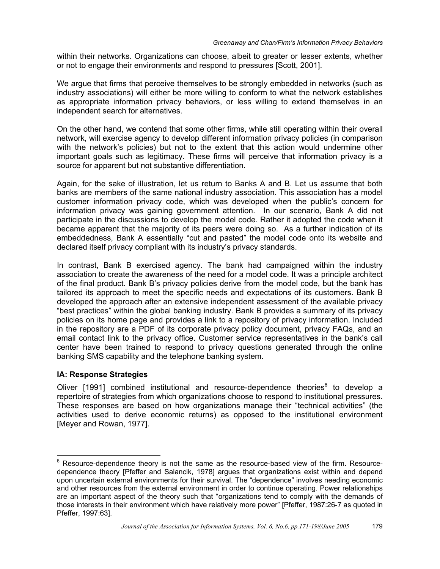within their networks. Organizations can choose, albeit to greater or lesser extents, whether or not to engage their environments and respond to pressures [Scott, 2001].

We argue that firms that perceive themselves to be strongly embedded in networks (such as industry associations) will either be more willing to conform to what the network establishes as appropriate information privacy behaviors, or less willing to extend themselves in an independent search for alternatives.

On the other hand, we contend that some other firms, while still operating within their overall network, will exercise agency to develop different information privacy policies (in comparison with the network's policies) but not to the extent that this action would undermine other important goals such as legitimacy. These firms will perceive that information privacy is a source for apparent but not substantive differentiation.

Again, for the sake of illustration, let us return to Banks A and B. Let us assume that both banks are members of the same national industry association. This association has a model customer information privacy code, which was developed when the public's concern for information privacy was gaining government attention. In our scenario, Bank A did not participate in the discussions to develop the model code. Rather it adopted the code when it became apparent that the majority of its peers were doing so. As a further indication of its embeddedness, Bank A essentially "cut and pasted" the model code onto its website and declared itself privacy compliant with its industry's privacy standards.

In contrast, Bank B exercised agency. The bank had campaigned within the industry association to create the awareness of the need for a model code. It was a principle architect of the final product. Bank B's privacy policies derive from the model code, but the bank has tailored its approach to meet the specific needs and expectations of its customers. Bank B developed the approach after an extensive independent assessment of the available privacy "best practices" within the global banking industry. Bank B provides a summary of its privacy policies on its home page and provides a link to a repository of privacy information. Included in the repository are a PDF of its corporate privacy policy document, privacy FAQs, and an email contact link to the privacy office. Customer service representatives in the bank's call center have been trained to respond to privacy questions generated through the online banking SMS capability and the telephone banking system.

### **IA: Response Strategies**

Oliver [1991] combined institutional and resource-dependence theories<sup>6</sup> to develop a repertoire of strategies from which organizations choose to respond to institutional pressures. These responses are based on how organizations manage their "technical activities" (the activities used to derive economic returns) as opposed to the institutional environment [Meyer and Rowan, 1977].

**ENEVALLE 12**<br>
<sup>6</sup> Resource-dependence theory is not the same as the resource-based view of the firm. Resourcedependence theory [Pfeffer and Salancik, 1978] argues that organizations exist within and depend upon uncertain external environments for their survival. The "dependence" involves needing economic and other resources from the external environment in order to continue operating. Power relationships are an important aspect of the theory such that "organizations tend to comply with the demands of those interests in their environment which have relatively more power" [Pfeffer, 1987:26-7 as quoted in Pfeffer, 1997:63].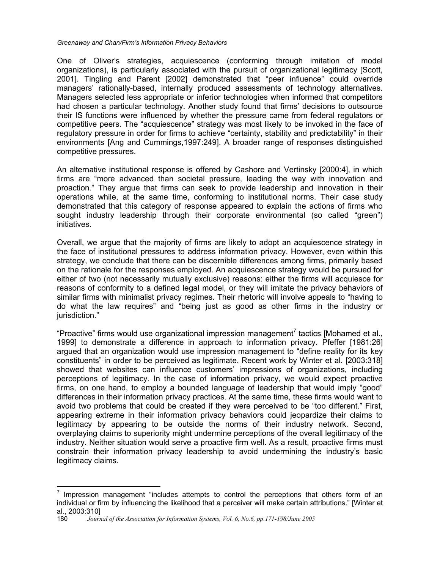One of Oliver's strategies, acquiescence (conforming through imitation of model organizations), is particularly associated with the pursuit of organizational legitimacy [Scott, 2001]. Tingling and Parent [2002] demonstrated that "peer influence" could override managers' rationally-based, internally produced assessments of technology alternatives. Managers selected less appropriate or inferior technologies when informed that competitors had chosen a particular technology. Another study found that firms' decisions to outsource their IS functions were influenced by whether the pressure came from federal regulators or competitive peers. The "acquiescence" strategy was most likely to be invoked in the face of regulatory pressure in order for firms to achieve "certainty, stability and predictability" in their environments [Ang and Cummings,1997:249]. A broader range of responses distinguished competitive pressures.

An alternative institutional response is offered by Cashore and Vertinsky [2000:4], in which firms are "more advanced than societal pressure, leading the way with innovation and proaction." They argue that firms can seek to provide leadership and innovation in their operations while, at the same time, conforming to institutional norms. Their case study demonstrated that this category of response appeared to explain the actions of firms who sought industry leadership through their corporate environmental (so called "green") initiatives.

Overall, we argue that the majority of firms are likely to adopt an acquiescence strategy in the face of institutional pressures to address information privacy. However, even within this strategy, we conclude that there can be discernible differences among firms, primarily based on the rationale for the responses employed. An acquiescence strategy would be pursued for either of two (not necessarily mutually exclusive) reasons: either the firms will acquiesce for reasons of conformity to a defined legal model, or they will imitate the privacy behaviors of similar firms with minimalist privacy regimes. Their rhetoric will involve appeals to "having to do what the law requires" and "being just as good as other firms in the industry or jurisdiction."

"Proactive" firms would use organizational impression management<sup>7</sup> tactics [Mohamed et al., 1999] to demonstrate a difference in approach to information privacy. Pfeffer [1981:26] argued that an organization would use impression management to "define reality for its key constituents" in order to be perceived as legitimate. Recent work by Winter et al. [2003:318] showed that websites can influence customers' impressions of organizations, including perceptions of legitimacy. In the case of information privacy, we would expect proactive firms, on one hand, to employ a bounded language of leadership that would imply "good" differences in their information privacy practices. At the same time, these firms would want to avoid two problems that could be created if they were perceived to be "too different." First, appearing extreme in their information privacy behaviors could jeopardize their claims to legitimacy by appearing to be outside the norms of their industry network. Second, overplaying claims to superiority might undermine perceptions of the overall legitimacy of the industry. Neither situation would serve a proactive firm well. As a result, proactive firms must constrain their information privacy leadership to avoid undermining the industry's basic legitimacy claims.

**TED 12**<br>Tend 10 Impression management "includes attempts to control the perceptions that others form of an individual or firm by influencing the likelihood that a perceiver will make certain attributions." [Winter et al., 2003:310]

<sup>180</sup> *Journal of the Association for Information Systems, Vol. 6, No.6, pp.171-198/June 2005*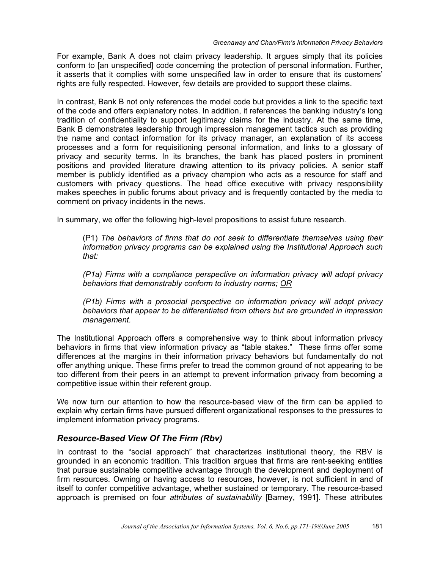For example, Bank A does not claim privacy leadership. It argues simply that its policies conform to [an unspecified] code concerning the protection of personal information. Further, it asserts that it complies with some unspecified law in order to ensure that its customers' rights are fully respected. However, few details are provided to support these claims.

In contrast, Bank B not only references the model code but provides a link to the specific text of the code and offers explanatory notes. In addition, it references the banking industry's long tradition of confidentiality to support legitimacy claims for the industry. At the same time, Bank B demonstrates leadership through impression management tactics such as providing the name and contact information for its privacy manager, an explanation of its access processes and a form for requisitioning personal information, and links to a glossary of privacy and security terms. In its branches, the bank has placed posters in prominent positions and provided literature drawing attention to its privacy policies. A senior staff member is publicly identified as a privacy champion who acts as a resource for staff and customers with privacy questions. The head office executive with privacy responsibility makes speeches in public forums about privacy and is frequently contacted by the media to comment on privacy incidents in the news.

In summary, we offer the following high-level propositions to assist future research.

(P1) *The behaviors of firms that do not seek to differentiate themselves using their information privacy programs can be explained using the Institutional Approach such that:*

*(P1a) Firms with a compliance perspective on information privacy will adopt privacy behaviors that demonstrably conform to industry norms; OR*

*(P1b) Firms with a prosocial perspective on information privacy will adopt privacy behaviors that appear to be differentiated from others but are grounded in impression management.*

The Institutional Approach offers a comprehensive way to think about information privacy behaviors in firms that view information privacy as "table stakes." These firms offer some differences at the margins in their information privacy behaviors but fundamentally do not offer anything unique. These firms prefer to tread the common ground of not appearing to be too different from their peers in an attempt to prevent information privacy from becoming a competitive issue within their referent group.

We now turn our attention to how the resource-based view of the firm can be applied to explain why certain firms have pursued different organizational responses to the pressures to implement information privacy programs.

# *Resource-Based View Of The Firm (Rbv)*

In contrast to the "social approach" that characterizes institutional theory, the RBV is grounded in an economic tradition. This tradition argues that firms are rent-seeking entities that pursue sustainable competitive advantage through the development and deployment of firm resources. Owning or having access to resources, however, is not sufficient in and of itself to confer competitive advantage, whether sustained or temporary. The resource-based approach is premised on four *attributes of sustainability* [Barney, 1991]. These attributes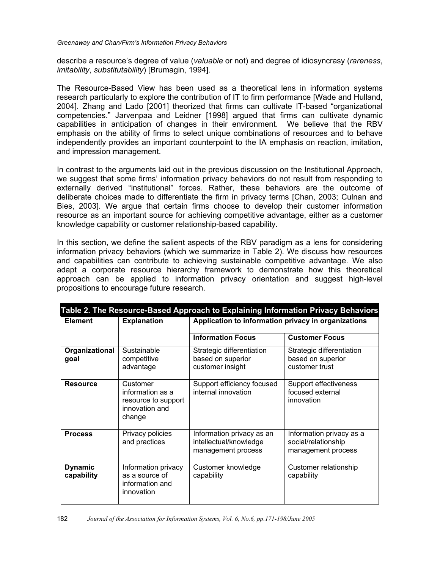describe a resource's degree of value (*valuable* or not) and degree of idiosyncrasy (*rareness*, *imitability*, *substitutability*) [Brumagin, 1994].

The Resource-Based View has been used as a theoretical lens in information systems research particularly to explore the contribution of IT to firm performance [Wade and Hulland, 2004]. Zhang and Lado [2001] theorized that firms can cultivate IT-based "organizational competencies." Jarvenpaa and Leidner [1998] argued that firms can cultivate dynamic capabilities in anticipation of changes in their environment. We believe that the RBV emphasis on the ability of firms to select unique combinations of resources and to behave independently provides an important counterpoint to the IA emphasis on reaction, imitation, and impression management.

In contrast to the arguments laid out in the previous discussion on the Institutional Approach, we suggest that some firms' information privacy behaviors do not result from responding to externally derived "institutional" forces. Rather, these behaviors are the outcome of deliberate choices made to differentiate the firm in privacy terms [Chan, 2003; Culnan and Bies, 2003]. We argue that certain firms choose to develop their customer information resource as an important source for achieving competitive advantage, either as a customer knowledge capability or customer relationship-based capability.

In this section, we define the salient aspects of the RBV paradigm as a lens for considering information privacy behaviors (which we summarize in Table 2). We discuss how resources and capabilities can contribute to achieving sustainable competitive advantage. We also adapt a corporate resource hierarchy framework to demonstrate how this theoretical approach can be applied to information privacy orientation and suggest high-level propositions to encourage future research.

| Table 2. The Resource-Based Approach to Explaining Information Privacy Behaviors |                                                                                 |                                                                           |                                                                       |  |
|----------------------------------------------------------------------------------|---------------------------------------------------------------------------------|---------------------------------------------------------------------------|-----------------------------------------------------------------------|--|
| <b>Element</b>                                                                   | <b>Explanation</b>                                                              | Application to information privacy in organizations                       |                                                                       |  |
|                                                                                  |                                                                                 | <b>Information Focus</b>                                                  | <b>Customer Focus</b>                                                 |  |
| Organizational<br>goal                                                           | Sustainable<br>competitive<br>advantage                                         | Strategic differentiation<br>based on superior<br>customer insight        | Strategic differentiation<br>based on superior<br>customer trust      |  |
| <b>Resource</b>                                                                  | Customer<br>information as a<br>resource to support<br>innovation and<br>change | Support efficiency focused<br>internal innovation                         | Support effectiveness<br>focused external<br>innovation               |  |
| <b>Process</b>                                                                   | Privacy policies<br>and practices                                               | Information privacy as an<br>intellectual/knowledge<br>management process | Information privacy as a<br>social/relationship<br>management process |  |
| <b>Dynamic</b><br>capability                                                     | Information privacy<br>as a source of<br>information and<br>innovation          | Customer knowledge<br>capability                                          | Customer relationship<br>capability                                   |  |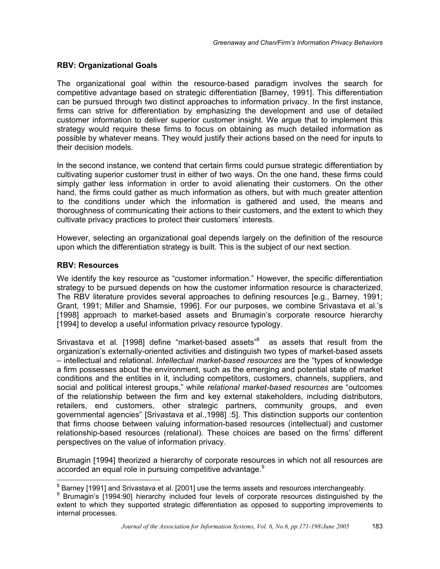### **RBV: Organizational Goals**

The organizational goal within the resource-based paradigm involves the search for competitive advantage based on strategic differentiation [Barney, 1991]. This differentiation can be pursued through two distinct approaches to information privacy. In the first instance, firms can strive for differentiation by emphasizing the development and use of detailed customer information to deliver superior customer insight. We argue that to implement this strategy would require these firms to focus on obtaining as much detailed information as possible by whatever means. They would justify their actions based on the need for inputs to their decision models.

In the second instance, we contend that certain firms could pursue strategic differentiation by cultivating superior customer trust in either of two ways. On the one hand, these firms could simply gather less information in order to avoid alienating their customers. On the other hand, the firms could gather as much information as others, but with much greater attention to the conditions under which the information is gathered and used, the means and thoroughness of communicating their actions to their customers, and the extent to which they cultivate privacy practices to protect their customers' interests.

However, selecting an organizational goal depends largely on the definition of the resource upon which the differentiation strategy is built. This is the subject of our next section.

### **RBV: Resources**

We identify the key resource as "customer information." However, the specific differentiation strategy to be pursued depends on how the customer information resource is characterized. The RBV literature provides several approaches to defining resources [e.g., Barney, 1991; Grant, 1991; Miller and Shamsie, 1996]. For our purposes, we combine Srivastava et al.'s [1998] approach to market-based assets and Brumagin's corporate resource hierarchy [1994] to develop a useful information privacy resource typology.

Srivastava et al. [1998] define "market-based assets"<sup>8</sup> as assets that result from the organization's externally-oriented activities and distinguish two types of market-based assets – intellectual and relational. *Intellectual market-based resources* are the "types of knowledge a firm possesses about the environment, such as the emerging and potential state of market conditions and the entities in it, including competitors, customers, channels, suppliers, and social and political interest groups," while *relational market-based resources* are "outcomes of the relationship between the firm and key external stakeholders, including distributors, retailers, end customers, other strategic partners, community groups, and even governmental agencies" [Srivastava et al.,1998] :5]. This distinction supports our contention that firms choose between valuing information-based resources (intellectual) and customer relationship-based resources (relational). These choices are based on the firms' different perspectives on the value of information privacy.

Brumagin [1994] theorized a hierarchy of corporate resources in which not all resources are accorded an equal role in pursuing competitive advantage.<sup>9</sup>

<sup>8&</sup>lt;br>8 Barney [1991] and Srivastava et al. [2001] use the terms assets and resources interchangeably.<br>9 Brumagin's [1994:99] biorarchy included four loyals of corporate resources distinguished by

<sup>&</sup>lt;sup>9</sup> Brumagin's [1994:90] hierarchy included four levels of corporate resources distinguished by the extent to which they supported strategic differentiation as opposed to supporting improvements to internal processes.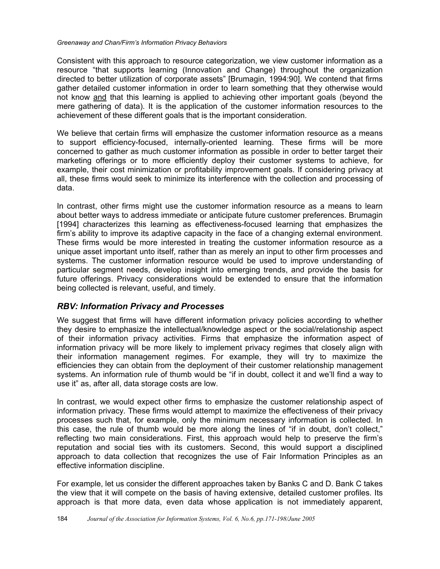Consistent with this approach to resource categorization, we view customer information as a resource "that supports learning (Innovation and Change) throughout the organization directed to better utilization of corporate assets" [Brumagin, 1994:90]. We contend that firms gather detailed customer information in order to learn something that they otherwise would not know and that this learning is applied to achieving other important goals (beyond the mere gathering of data). It is the application of the customer information resources to the achievement of these different goals that is the important consideration.

We believe that certain firms will emphasize the customer information resource as a means to support efficiency-focused, internally-oriented learning. These firms will be more concerned to gather as much customer information as possible in order to better target their marketing offerings or to more efficiently deploy their customer systems to achieve, for example, their cost minimization or profitability improvement goals. If considering privacy at all, these firms would seek to minimize its interference with the collection and processing of data.

In contrast, other firms might use the customer information resource as a means to learn about better ways to address immediate or anticipate future customer preferences. Brumagin [1994] characterizes this learning as effectiveness-focused learning that emphasizes the firm's ability to improve its adaptive capacity in the face of a changing external environment. These firms would be more interested in treating the customer information resource as a unique asset important unto itself, rather than as merely an input to other firm processes and systems. The customer information resource would be used to improve understanding of particular segment needs, develop insight into emerging trends, and provide the basis for future offerings. Privacy considerations would be extended to ensure that the information being collected is relevant, useful, and timely.

# *RBV: Information Privacy and Processes*

We suggest that firms will have different information privacy policies according to whether they desire to emphasize the intellectual/knowledge aspect or the social/relationship aspect of their information privacy activities. Firms that emphasize the information aspect of information privacy will be more likely to implement privacy regimes that closely align with their information management regimes. For example, they will try to maximize the efficiencies they can obtain from the deployment of their customer relationship management systems. An information rule of thumb would be "if in doubt, collect it and we'll find a way to use it" as, after all, data storage costs are low.

In contrast, we would expect other firms to emphasize the customer relationship aspect of information privacy. These firms would attempt to maximize the effectiveness of their privacy processes such that, for example, only the minimum necessary information is collected. In this case, the rule of thumb would be more along the lines of "if in doubt, don't collect," reflecting two main considerations. First, this approach would help to preserve the firm's reputation and social ties with its customers. Second, this would support a disciplined approach to data collection that recognizes the use of Fair Information Principles as an effective information discipline.

For example, let us consider the different approaches taken by Banks C and D. Bank C takes the view that it will compete on the basis of having extensive, detailed customer profiles. Its approach is that more data, even data whose application is not immediately apparent,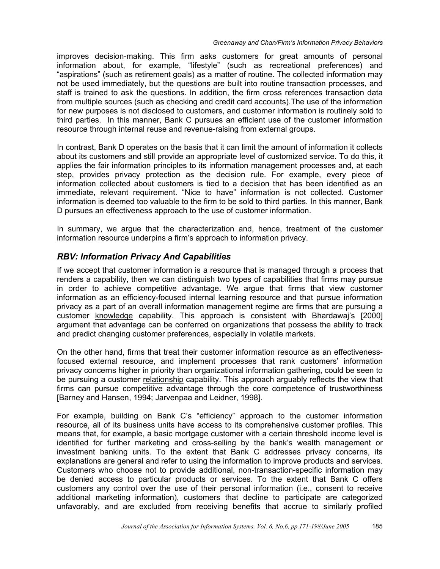improves decision-making. This firm asks customers for great amounts of personal information about, for example, "lifestyle" (such as recreational preferences) and "aspirations" (such as retirement goals) as a matter of routine. The collected information may not be used immediately, but the questions are built into routine transaction processes, and staff is trained to ask the questions. In addition, the firm cross references transaction data from multiple sources (such as checking and credit card accounts).The use of the information for new purposes is not disclosed to customers, and customer information is routinely sold to third parties. In this manner, Bank C pursues an efficient use of the customer information resource through internal reuse and revenue-raising from external groups.

In contrast, Bank D operates on the basis that it can limit the amount of information it collects about its customers and still provide an appropriate level of customized service. To do this, it applies the fair information principles to its information management processes and, at each step, provides privacy protection as the decision rule. For example, every piece of information collected about customers is tied to a decision that has been identified as an immediate, relevant requirement. "Nice to have" information is not collected. Customer information is deemed too valuable to the firm to be sold to third parties. In this manner, Bank D pursues an effectiveness approach to the use of customer information.

In summary, we argue that the characterization and, hence, treatment of the customer information resource underpins a firm's approach to information privacy.

# *RBV: Information Privacy And Capabilities*

If we accept that customer information is a resource that is managed through a process that renders a capability, then we can distinguish two types of capabilities that firms may pursue in order to achieve competitive advantage. We argue that firms that view customer information as an efficiency-focused internal learning resource and that pursue information privacy as a part of an overall information management regime are firms that are pursuing a customer knowledge capability. This approach is consistent with Bhardawaj's [2000] argument that advantage can be conferred on organizations that possess the ability to track and predict changing customer preferences, especially in volatile markets.

On the other hand, firms that treat their customer information resource as an effectivenessfocused external resource, and implement processes that rank customers' information privacy concerns higher in priority than organizational information gathering, could be seen to be pursuing a customer relationship capability. This approach arguably reflects the view that firms can pursue competitive advantage through the core competence of trustworthiness [Barney and Hansen, 1994; Jarvenpaa and Leidner, 1998].

For example, building on Bank C's "efficiency" approach to the customer information resource, all of its business units have access to its comprehensive customer profiles. This means that, for example, a basic mortgage customer with a certain threshold income level is identified for further marketing and cross-selling by the bank's wealth management or investment banking units. To the extent that Bank C addresses privacy concerns, its explanations are general and refer to using the information to improve products and services. Customers who choose not to provide additional, non-transaction-specific information may be denied access to particular products or services. To the extent that Bank C offers customers any control over the use of their personal information (i.e., consent to receive additional marketing information), customers that decline to participate are categorized unfavorably, and are excluded from receiving benefits that accrue to similarly profiled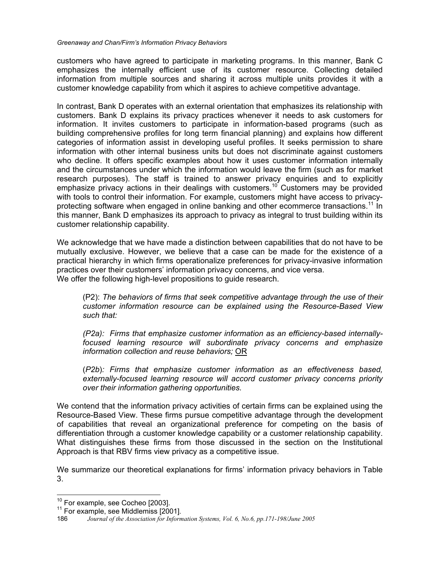customers who have agreed to participate in marketing programs. In this manner, Bank C emphasizes the internally efficient use of its customer resource. Collecting detailed information from multiple sources and sharing it across multiple units provides it with a customer knowledge capability from which it aspires to achieve competitive advantage.

In contrast, Bank D operates with an external orientation that emphasizes its relationship with customers. Bank D explains its privacy practices whenever it needs to ask customers for information. It invites customers to participate in information-based programs (such as building comprehensive profiles for long term financial planning) and explains how different categories of information assist in developing useful profiles. It seeks permission to share information with other internal business units but does not discriminate against customers who decline. It offers specific examples about how it uses customer information internally and the circumstances under which the information would leave the firm (such as for market research purposes). The staff is trained to answer privacy enquiries and to explicitly emphasize privacy actions in their dealings with customers.<sup>10</sup> Customers may be provided with tools to control their information. For example, customers might have access to privacyprotecting software when engaged in online banking and other ecommerce transactions.<sup>11</sup> In this manner, Bank D emphasizes its approach to privacy as integral to trust building within its customer relationship capability.

We acknowledge that we have made a distinction between capabilities that do not have to be mutually exclusive. However, we believe that a case can be made for the existence of a practical hierarchy in which firms operationalize preferences for privacy-invasive information practices over their customers' information privacy concerns, and vice versa. We offer the following high-level propositions to guide research.

(P2): *The behaviors of firms that seek competitive advantage through the use of their customer information resource can be explained using the Resource-Based View such that:* 

*(P2a): Firms that emphasize customer information as an efficiency-based internallyfocused learning resource will subordinate privacy concerns and emphasize information collection and reuse behaviors;* OR

(*P2b*)*: Firms that emphasize customer information as an effectiveness based, externally-focused learning resource will accord customer privacy concerns priority over their information gathering opportunities.* 

We contend that the information privacy activities of certain firms can be explained using the Resource-Based View. These firms pursue competitive advantage through the development of capabilities that reveal an organizational preference for competing on the basis of differentiation through a customer knowledge capability or a customer relationship capability. What distinguishes these firms from those discussed in the section on the Institutional Approach is that RBV firms view privacy as a competitive issue.

We summarize our theoretical explanations for firms' information privacy behaviors in Table 3.

<sup>&</sup>lt;sup>10</sup> For example, see Cocheo [2003].

 $11$  For example, see Middlemiss [2001].

<sup>186</sup> *Journal of the Association for Information Systems, Vol. 6, No.6, pp.171-198/June 2005*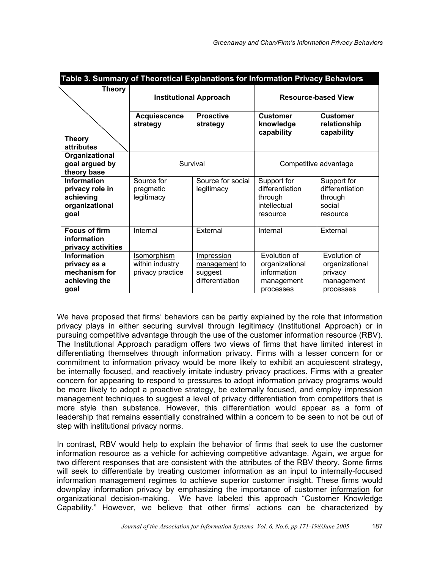| Table 3. Summary of Theoretical Explanations for Information Privacy Behaviors |                                                           |                                                           |                                                                          |                                                                      |
|--------------------------------------------------------------------------------|-----------------------------------------------------------|-----------------------------------------------------------|--------------------------------------------------------------------------|----------------------------------------------------------------------|
| <b>Theory</b>                                                                  | <b>Institutional Approach</b>                             |                                                           | <b>Resource-based View</b>                                               |                                                                      |
|                                                                                | <b>Acquiescence</b><br>strategy                           | <b>Proactive</b><br>strategy                              | <b>Customer</b><br>knowledge<br>capability                               | <b>Customer</b><br>relationship<br>capability                        |
| <b>Theory</b><br>attributes                                                    |                                                           |                                                           |                                                                          |                                                                      |
| Organizational<br>goal argued by<br>theory base                                |                                                           | Survival                                                  |                                                                          | Competitive advantage                                                |
| Information<br>privacy role in<br>achieving<br>organizational<br>goal          | Source for<br>pragmatic<br>legitimacy                     | Source for social<br>legitimacy                           | Support for<br>differentiation<br>through<br>intellectual<br>resource    | Support for<br>differentiation<br>through<br>social<br>resource      |
| <b>Focus of firm</b><br>information<br>privacy activities                      | Internal                                                  | External                                                  | Internal                                                                 | External                                                             |
| Information<br>privacy as a<br>mechanism for<br>achieving the<br>goal          | <b>Isomorphism</b><br>within industry<br>privacy practice | Impression<br>management to<br>suggest<br>differentiation | Evolution of<br>organizational<br>information<br>management<br>processes | Evolution of<br>organizational<br>privacy<br>management<br>processes |

We have proposed that firms' behaviors can be partly explained by the role that information privacy plays in either securing survival through legitimacy (Institutional Approach) or in pursuing competitive advantage through the use of the customer information resource (RBV). The Institutional Approach paradigm offers two views of firms that have limited interest in differentiating themselves through information privacy. Firms with a lesser concern for or commitment to information privacy would be more likely to exhibit an acquiescent strategy, be internally focused, and reactively imitate industry privacy practices. Firms with a greater concern for appearing to respond to pressures to adopt information privacy programs would be more likely to adopt a proactive strategy, be externally focused, and employ impression management techniques to suggest a level of privacy differentiation from competitors that is more style than substance. However, this differentiation would appear as a form of leadership that remains essentially constrained within a concern to be seen to not be out of step with institutional privacy norms.

In contrast, RBV would help to explain the behavior of firms that seek to use the customer information resource as a vehicle for achieving competitive advantage. Again, we argue for two different responses that are consistent with the attributes of the RBV theory. Some firms will seek to differentiate by treating customer information as an input to internally-focused information management regimes to achieve superior customer insight. These firms would downplay information privacy by emphasizing the importance of customer information for organizational decision-making. We have labeled this approach "Customer Knowledge Capability." However, we believe that other firms' actions can be characterized by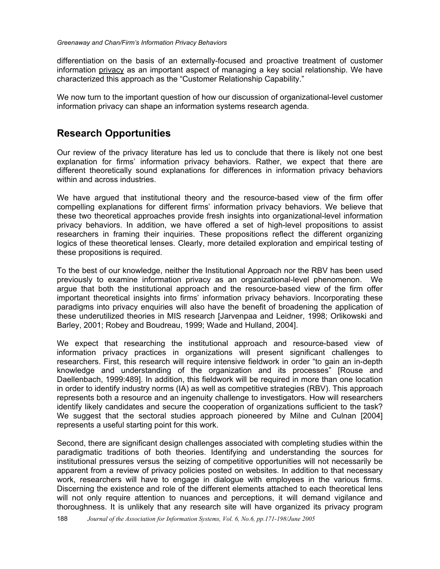differentiation on the basis of an externally-focused and proactive treatment of customer information privacy as an important aspect of managing a key social relationship. We have characterized this approach as the "Customer Relationship Capability."

We now turn to the important question of how our discussion of organizational-level customer information privacy can shape an information systems research agenda.

# **Research Opportunities**

Our review of the privacy literature has led us to conclude that there is likely not one best explanation for firms' information privacy behaviors. Rather, we expect that there are different theoretically sound explanations for differences in information privacy behaviors within and across industries.

We have argued that institutional theory and the resource-based view of the firm offer compelling explanations for different firms' information privacy behaviors. We believe that these two theoretical approaches provide fresh insights into organizational-level information privacy behaviors. In addition, we have offered a set of high-level propositions to assist researchers in framing their inquiries. These propositions reflect the different organizing logics of these theoretical lenses. Clearly, more detailed exploration and empirical testing of these propositions is required.

To the best of our knowledge, neither the Institutional Approach nor the RBV has been used previously to examine information privacy as an organizational-level phenomenon. We argue that both the institutional approach and the resource-based view of the firm offer important theoretical insights into firms' information privacy behaviors. Incorporating these paradigms into privacy enquiries will also have the benefit of broadening the application of these underutilized theories in MIS research [Jarvenpaa and Leidner, 1998; Orlikowski and Barley, 2001; Robey and Boudreau, 1999; Wade and Hulland, 2004].

We expect that researching the institutional approach and resource-based view of information privacy practices in organizations will present significant challenges to researchers. First, this research will require intensive fieldwork in order "to gain an in-depth knowledge and understanding of the organization and its processes" [Rouse and Daellenbach, 1999:489]. In addition, this fieldwork will be required in more than one location in order to identify industry norms (IA) as well as competitive strategies (RBV). This approach represents both a resource and an ingenuity challenge to investigators. How will researchers identify likely candidates and secure the cooperation of organizations sufficient to the task? We suggest that the sectoral studies approach pioneered by Milne and Culnan [2004] represents a useful starting point for this work.

Second, there are significant design challenges associated with completing studies within the paradigmatic traditions of both theories. Identifying and understanding the sources for institutional pressures versus the seizing of competitive opportunities will not necessarily be apparent from a review of privacy policies posted on websites. In addition to that necessary work, researchers will have to engage in dialogue with employees in the various firms. Discerning the existence and role of the different elements attached to each theoretical lens will not only require attention to nuances and perceptions, it will demand vigilance and thoroughness. It is unlikely that any research site will have organized its privacy program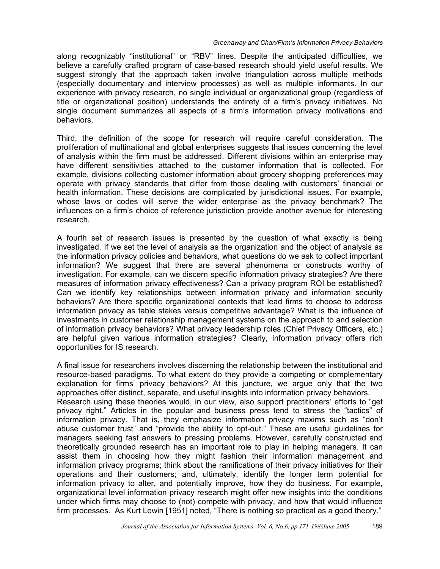along recognizably "institutional" or "RBV" lines. Despite the anticipated difficulties, we believe a carefully crafted program of case-based research should yield useful results. We suggest strongly that the approach taken involve triangulation across multiple methods (especially documentary and interview processes) as well as multiple informants. In our experience with privacy research, no single individual or organizational group (regardless of title or organizational position) understands the entirety of a firm's privacy initiatives. No single document summarizes all aspects of a firm's information privacy motivations and behaviors.

Third, the definition of the scope for research will require careful consideration. The proliferation of multinational and global enterprises suggests that issues concerning the level of analysis within the firm must be addressed. Different divisions within an enterprise may have different sensitivities attached to the customer information that is collected. For example, divisions collecting customer information about grocery shopping preferences may operate with privacy standards that differ from those dealing with customers' financial or health information. These decisions are complicated by jurisdictional issues. For example, whose laws or codes will serve the wider enterprise as the privacy benchmark? The influences on a firm's choice of reference jurisdiction provide another avenue for interesting research.

A fourth set of research issues is presented by the question of what exactly is being investigated. If we set the level of analysis as the organization and the object of analysis as the information privacy policies and behaviors, what questions do we ask to collect important information? We suggest that there are several phenomena or constructs worthy of investigation. For example, can we discern specific information privacy strategies? Are there measures of information privacy effectiveness? Can a privacy program ROI be established? Can we identify key relationships between information privacy and information security behaviors? Are there specific organizational contexts that lead firms to choose to address information privacy as table stakes versus competitive advantage? What is the influence of investments in customer relationship management systems on the approach to and selection of information privacy behaviors? What privacy leadership roles (Chief Privacy Officers, etc.) are helpful given various information strategies? Clearly, information privacy offers rich opportunities for IS research.

A final issue for researchers involves discerning the relationship between the institutional and resource-based paradigms. To what extent do they provide a competing or complementary explanation for firms' privacy behaviors? At this juncture, we argue only that the two approaches offer distinct, separate, and useful insights into information privacy behaviors. Research using these theories would, in our view, also support practitioners' efforts to "get privacy right." Articles in the popular and business press tend to stress the "tactics" of information privacy. That is, they emphasize information privacy maxims such as "don't abuse customer trust" and "provide the ability to opt-out." These are useful guidelines for managers seeking fast answers to pressing problems. However, carefully constructed and theoretically grounded research has an important role to play in helping managers. It can assist them in choosing how they might fashion their information management and information privacy programs; think about the ramifications of their privacy initiatives for their operations and their customers; and, ultimately, identify the longer term potential for information privacy to alter, and potentially improve, how they do business. For example, organizational level information privacy research might offer new insights into the conditions under which firms may choose to (not) compete with privacy, and how that would influence firm processes. As Kurt Lewin [1951] noted, "There is nothing so practical as a good theory."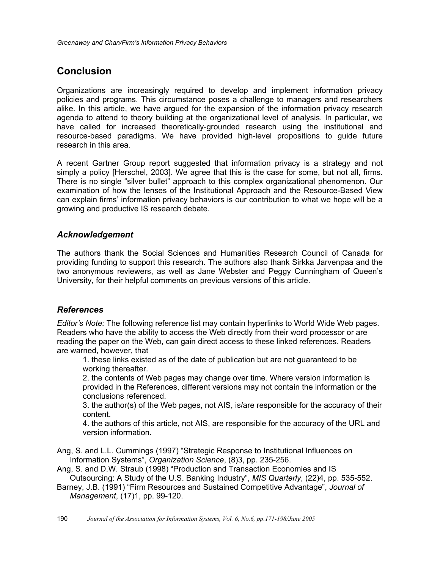# **Conclusion**

Organizations are increasingly required to develop and implement information privacy policies and programs. This circumstance poses a challenge to managers and researchers alike. In this article, we have argued for the expansion of the information privacy research agenda to attend to theory building at the organizational level of analysis. In particular, we have called for increased theoretically-grounded research using the institutional and resource-based paradigms. We have provided high-level propositions to guide future research in this area.

A recent Gartner Group report suggested that information privacy is a strategy and not simply a policy [Herschel, 2003]. We agree that this is the case for some, but not all, firms. There is no single "silver bullet" approach to this complex organizational phenomenon. Our examination of how the lenses of the Institutional Approach and the Resource-Based View can explain firms' information privacy behaviors is our contribution to what we hope will be a growing and productive IS research debate.

# *Acknowledgement*

The authors thank the Social Sciences and Humanities Research Council of Canada for providing funding to support this research. The authors also thank Sirkka Jarvenpaa and the two anonymous reviewers, as well as Jane Webster and Peggy Cunningham of Queen's University, for their helpful comments on previous versions of this article.

# *References*

*Editor's Note:* The following reference list may contain hyperlinks to World Wide Web pages. Readers who have the ability to access the Web directly from their word processor or are reading the paper on the Web, can gain direct access to these linked references. Readers are warned, however, that

1. these links existed as of the date of publication but are not guaranteed to be working thereafter.

2. the contents of Web pages may change over time. Where version information is provided in the References, different versions may not contain the information or the conclusions referenced.

3. the author(s) of the Web pages, not AIS, is/are responsible for the accuracy of their content.

4. the authors of this article, not AIS, are responsible for the accuracy of the URL and version information.

Ang, S. and L.L. Cummings (1997) "Strategic Response to Institutional Influences on Information Systems", *Organization Science*, (8)3, pp. 235-256.

Ang, S. and D.W. Straub (1998) "Production and Transaction Economies and IS Outsourcing: A Study of the U.S. Banking Industry", *MIS Quarterly*, (22)4, pp. 535-552.

Barney, J.B. (1991) "Firm Resources and Sustained Competitive Advantage", *Journal of Management*, (17)1, pp. 99-120.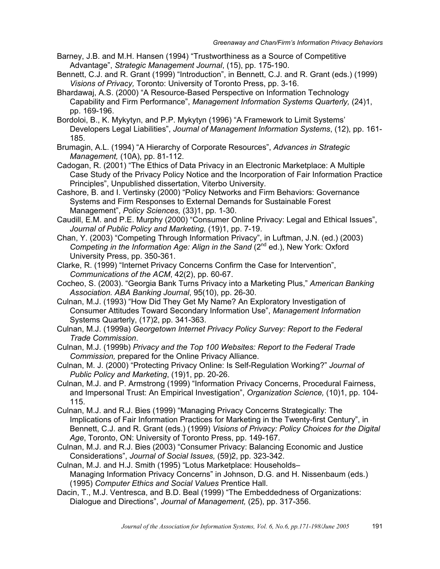- Barney, J.B. and M.H. Hansen (1994) "Trustworthiness as a Source of Competitive Advantage", *Strategic Management Journal*, (15), pp. 175-190.
- Bennett, C.J. and R. Grant (1999) "Introduction", in Bennett, C.J. and R. Grant (eds.) (1999) *Visions of Privacy,* Toronto: University of Toronto Press, pp. 3-16.
- Bhardawaj, A.S. (2000) "A Resource-Based Perspective on Information Technology Capability and Firm Performance", *Management Information Systems Quarterly,* (24)1, pp. 169-196.
- Bordoloi, B., K. Mykytyn, and P.P. Mykytyn (1996) "A Framework to Limit Systems' Developers Legal Liabilities", *Journal of Management Information Systems*, (12), pp. 161- 185.
- Brumagin, A.L. (1994) "A Hierarchy of Corporate Resources", *Advances in Strategic Management,* (10A), pp. 81-112.
- Cadogan, R. (2001) "The Ethics of Data Privacy in an Electronic Marketplace: A Multiple Case Study of the Privacy Policy Notice and the Incorporation of Fair Information Practice Principles", Unpublished dissertation, Viterbo University.
- Cashore, B. and I. Vertinsky (2000) "Policy Networks and Firm Behaviors: Governance Systems and Firm Responses to External Demands for Sustainable Forest Management", *Policy Sciences,* (33)1, pp. 1-30.
- Caudill, E.M. and P.E. Murphy (2000) "Consumer Online Privacy: Legal and Ethical Issues", *Journal of Public Policy and Marketing,* (19)1, pp. 7-19.
- Chan, Y. (2003) "Competing Through Information Privacy", in Luftman, J.N. (ed.) (2003) *Competing in the Information Age: Align in the Sand* (2<sup>nd</sup> ed.), New York: Oxford University Press, pp. 350-361.
- Clarke, R. (1999) "Internet Privacy Concerns Confirm the Case for Intervention", *Communications of the ACM*, 42(2), pp. 60-67.
- Cocheo, S. (2003). "Georgia Bank Turns Privacy into a Marketing Plus," *American Banking Association. ABA Banking Journal*, 95(10), pp. 26-30.
- Culnan, M.J. (1993) "How Did They Get My Name? An Exploratory Investigation of Consumer Attitudes Toward Secondary Information Use", *Management Information*  Systems Quarterly, (17)2, pp. 341-363.
- Culnan, M.J. (1999a) *Georgetown Internet Privacy Policy Survey: Report to the Federal Trade Commission*.
- Culnan, M.J. (1999b) *Privacy and the Top 100 Websites: Report to the Federal Trade Commission,* prepared for the Online Privacy Alliance.
- Culnan, M. J. (2000) "Protecting Privacy Online: Is Self-Regulation Working?" *Journal of Public Policy and Marketing*, (19)1, pp. 20-26.
- Culnan, M.J. and P. Armstrong (1999) "Information Privacy Concerns, Procedural Fairness, and Impersonal Trust: An Empirical Investigation", *Organization Science,* (10)1, pp. 104- 115.
- Culnan, M.J. and R.J. Bies (1999) "Managing Privacy Concerns Strategically: The Implications of Fair Information Practices for Marketing in the Twenty-first Century", in Bennett, C.J. and R. Grant (eds.) (1999) *Visions of Privacy: Policy Choices for the Digital Age*, Toronto, ON: University of Toronto Press, pp. 149-167.
- Culnan, M.J. and R.J. Bies (2003) "Consumer Privacy: Balancing Economic and Justice Considerations", *Journal of Social Issues,* (59)2, pp. 323-342.
- Culnan, M.J. and H.J. Smith (1995) "Lotus Marketplace: Households– Managing Information Privacy Concerns" in Johnson, D.G. and H. Nissenbaum (eds.) (1995) *Computer Ethics and Social Values* Prentice Hall.
- Dacin, T., M.J. Ventresca, and B.D. Beal (1999) "The Embeddedness of Organizations: Dialogue and Directions", *Journal of Management,* (25), pp. 317-356.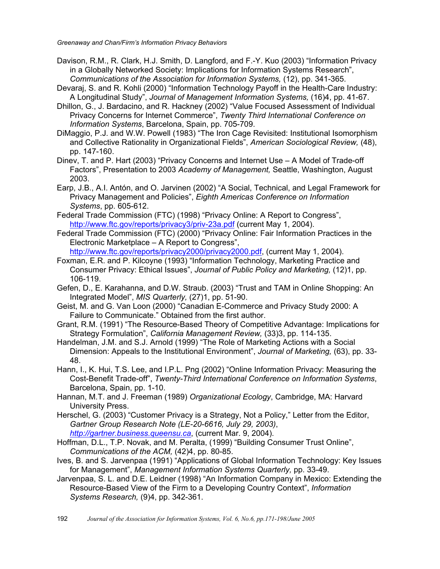- Davison, R.M., R. Clark, H.J. Smith, D. Langford, and F.-Y. Kuo (2003) "Information Privacy in a Globally Networked Society: Implications for Information Systems Research", *Communications of the Association for Information Systems,* (12), pp. 341-365.
- Devaraj, S. and R. Kohli (2000) "Information Technology Payoff in the Health-Care Industry: A Longitudinal Study", *Journal of Management Information Systems,* (16)4, pp. 41-67.
- Dhillon, G., J. Bardacino, and R. Hackney (2002) "Value Focused Assessment of Individual Privacy Concerns for Internet Commerce", *Twenty Third International Conference on Information Systems*, Barcelona, Spain, pp. 705-709.
- DiMaggio, P.J. and W.W. Powell (1983) "The Iron Cage Revisited: Institutional Isomorphism and Collective Rationality in Organizational Fields", *American Sociological Review,* (48), pp. 147-160.
- Dinev, T. and P. Hart (2003) "Privacy Concerns and Internet Use A Model of Trade-off Factors", Presentation to 2003 *Academy of Management,* Seattle, Washington, August 2003.
- Earp, J.B., A.I. Antón, and O. Jarvinen (2002) "A Social, Technical, and Legal Framework for Privacy Management and Policies", *Eighth Americas Conference on Information Systems*, pp. 605-612.
- Federal Trade Commission (FTC) (1998) "Privacy Online: A Report to Congress", http://www.ftc.gov/reports/privacy3/priv-23a.pdf (current May 1, 2004).
- Federal Trade Commission (FTC) (2000) "Privacy Online: Fair Information Practices in the Electronic Marketplace – A Report to Congress", http://www.ftc.gov/reports/privacy2000/privacy2000.pdf, (current May 1, 2004).
- Foxman, E.R. and P. Kilcoyne (1993) "Information Technology, Marketing Practice and Consumer Privacy: Ethical Issues", *Journal of Public Policy and Marketing,* (12)1, pp. 106-119.
- Gefen, D., E. Karahanna, and D.W. Straub. (2003) "Trust and TAM in Online Shopping: An Integrated Model", *MIS Quarterly,* (27)1, pp. 51-90.
- Geist, M. and G. Van Loon (2000) "Canadian E-Commerce and Privacy Study 2000: A Failure to Communicate." Obtained from the first author.
- Grant, R.M. (1991) "The Resource-Based Theory of Competitive Advantage: Implications for Strategy Formulation", *California Management Review,* (33)3, pp. 114-135.
- Handelman, J.M. and S.J. Arnold (1999) "The Role of Marketing Actions with a Social Dimension: Appeals to the Institutional Environment", *Journal of Marketing,* (63), pp. 33- 48.
- Hann, I., K. Hui, T.S. Lee, and I.P.L. Png (2002) "Online Information Privacy: Measuring the Cost-Benefit Trade-off", *Twenty-Third International Conference on Information Systems*, Barcelona, Spain, pp. 1-10.
- Hannan, M.T. and J. Freeman (1989) *Organizational Ecology*, Cambridge, MA: Harvard University Press.
- Herschel, G. (2003) "Customer Privacy is a Strategy, Not a Policy," Letter from the Editor, *Gartner Group Research Note (LE-20-6616, July 29, 2003)*, *http://gartner.business.queensu.ca*, (current Mar. 9, 2004).
- Hoffman, D.L., T.P. Novak, and M. Peralta, (1999) "Building Consumer Trust Online", *Communications of the ACM,* (42)4, pp. 80-85.
- Ives, B. and S. Jarvenpaa (1991) "Applications of Global Information Technology: Key Issues for Management", *Management Information Systems Quarterly,* pp. 33-49.
- Jarvenpaa, S. L. and D.E. Leidner (1998) "An Information Company in Mexico: Extending the Resource-Based View of the Firm to a Developing Country Context", *Information Systems Research,* (9)4, pp. 342-361.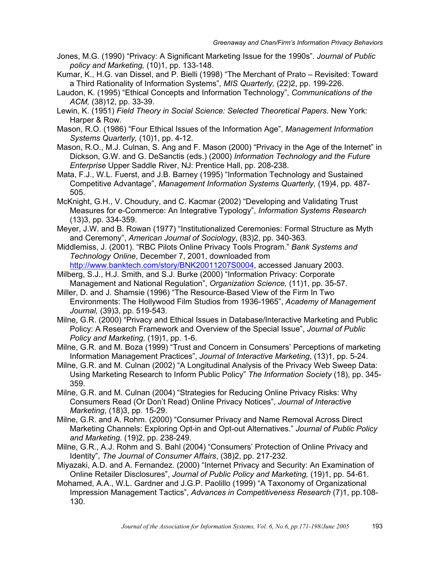- Jones, M.G. (1990) "Privacy: A Significant Marketing Issue for the 1990s". *Journal of Public policy and Marketing,* (10)1, pp. 133-148.
- Kumar, K., H.G. van Dissel, and P. Bielli (1998) "The Merchant of Prato Revisited: Toward a Third Rationality of Information Systems", *MIS Quarterly,* (22)2, pp. 199-226.
- Laudon, K. (1995) "Ethical Concepts and Information Technology", *Communications of the ACM,* (38)12, pp. 33-39.
- Lewin, K. (1951) *Field Theory in Social Science: Selected Theoretical Papers*. New York: Harper & Row.
- Mason, R.O. (1986) "Four Ethical Issues of the Information Age", *Management Information Systems Quarterly,* (10)1, pp. 4-12.
- Mason, R.O., M.J. Culnan, S. Ang and F. Mason (2000) "Privacy in the Age of the Internet" in Dickson, G.W. and G. DeSanctis (eds.) (2000) *Information Technology and the Future Enterprise* Upper Saddle River, NJ: Prentice Hall, pp. 208-238.
- Mata, F.J., W.L. Fuerst, and J.B. Barney (1995) "Information Technology and Sustained Competitive Advantage", *Management Information Systems Quarterly,* (19)4, pp. 487- 505.
- McKnight, G.H., V. Choudury, and C. Kacmar (2002) "Developing and Validating Trust Measures for e-Commerce: An Integrative Typology", *Information Systems Research* (13)3, pp. 334-359.
- Meyer, J.W. and B. Rowan (1977) "Institutionalized Ceremonies: Formal Structure as Myth and Ceremony", *American Journal of Sociology*, (83)2, pp. 340-363.
- Middlemiss, J. (2001). "RBC Pilots Online Privacy Tools Program." *Bank Systems and Technology Online*, December 7, 2001, downloaded from

http://www.banktech.com/story/BNK20011207S0004, accessed January 2003. Milberg, S.J., H.J. Smith, and S.J. Burke (2000) "Information Privacy: Corporate

- Management and National Regulation", *Organization Science,* (11)1, pp. 35-57.
- Miller, D. and J. Shamsie (1996) "The Resource-Based View of the Firm In Two Environments: The Hollywood Film Studios from 1936-1965", *Academy of Management Journal,* (39)3, pp. 519-543.
- Milne, G.R. (2000) "Privacy and Ethical Issues in Database/Interactive Marketing and Public Policy: A Research Framework and Overview of the Special Issue", *Journal of Public Policy and Marketing,* (19)1, pp. 1-6.
- Milne, G.R. and M. Boza (1999) "Trust and Concern in Consumers' Perceptions of marketing Information Management Practices", *Journal of Interactive Marketing*, (13)1, pp. 5-24.
- Milne, G.R. and M. Culnan (2002) "A Longitudinal Analysis of the Privacy Web Sweep Data: Using Marketing Research to Inform Public Policy" *The Information Society* (18), pp. 345- 359.
- Milne, G.R. and M. Culnan (2004) "Strategies for Reducing Online Privacy Risks: Why Consumers Read (Or Don't Read) Online Privacy Notices", *Journal of Interactive Marketing*, (18)3, pp. 15-29.
- Milne, G.R. and A. Rohm. (2000) "Consumer Privacy and Name Removal Across Direct Marketing Channels: Exploring Opt-in and Opt-out Alternatives." *Journal of Public Policy and Marketing.* (19)2, pp. 238-249.
- Milne, G.R., A.J. Rohm and S. Bahl (2004) "Consumers' Protection of Online Privacy and Identity", *The Journal of Consumer Affairs*, (38)2, pp. 217-232.
- Miyazaki, A.D. and A. Fernandez. (2000) "Internet Privacy and Security: An Examination of Online Retailer Disclosures", *Journal of Public Policy and Marketing,* (19)1, pp. 54-61.
- Mohamed, A.A., W.L. Gardner and J.G.P. Paolillo (1999) "A Taxonomy of Organizational Impression Management Tactics", *Advances in Competitiveness Research* (7)1, pp.108- 130.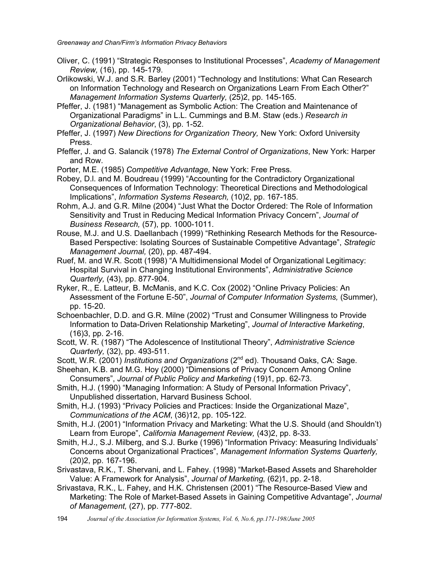- Oliver, C. (1991) "Strategic Responses to Institutional Processes", *Academy of Management Review,* (16), pp. 145-179.
- Orlikowski, W.J. and S.R. Barley (2001) "Technology and Institutions: What Can Research on Information Technology and Research on Organizations Learn From Each Other?" *Management Information Systems Quarterly,* (25)2, pp. 145-165.
- Pfeffer, J. (1981) "Management as Symbolic Action: The Creation and Maintenance of Organizational Paradigms" in L.L. Cummings and B.M. Staw (eds.) *Research in Organizational Behavior*, (3), pp. 1-52.
- Pfeffer, J. (1997) *New Directions for Organization Theory,* New York: Oxford University Press.
- Pfeffer, J. and G. Salancik (1978) *The External Control of Organizations*, New York: Harper and Row.
- Porter, M.E. (1985) *Competitive Advantage,* New York: Free Press.
- Robey, D.l. and M. Boudreau (1999) "Accounting for the Contradictory Organizational Consequences of Information Technology: Theoretical Directions and Methodological Implications", *Information Systems Research,* (10)2, pp. 167-185.
- Rohm, A.J. and G.R. Milne (2004) "Just What the Doctor Ordered: The Role of Information Sensitivity and Trust in Reducing Medical Information Privacy Concern", *Journal of Business Research,* (57), pp. 1000-1011.
- Rouse, M.J. and U.S. Daellanbach (1999) "Rethinking Research Methods for the Resource-Based Perspective: Isolating Sources of Sustainable Competitive Advantage", *Strategic Management Journal,* (20), pp. 487-494.
- Ruef, M. and W.R. Scott (1998) "A Multidimensional Model of Organizational Legitimacy: Hospital Survival in Changing Institutional Environments", *Administrative Science Quarterly,* (43), pp. 877-904.
- Ryker, R., E. Latteur, B. McManis, and K.C. Cox (2002) "Online Privacy Policies: An Assessment of the Fortune E-50", *Journal of Computer Information Systems,* (Summer), pp. 15-20.
- Schoenbachler, D.D. and G.R. Milne (2002) "Trust and Consumer Willingness to Provide Information to Data-Driven Relationship Marketing", *Journal of Interactive Marketing*, (16)3, pp. 2-16.
- Scott, W. R. (1987) "The Adolescence of Institutional Theory", *Administrative Science Quarterly,* (32), pp. 493-511.
- Scott, W.R. (2001) *Institutions and Organizations* (2nd ed). Thousand Oaks, CA: Sage.
- Sheehan, K.B. and M.G. Hoy (2000) "Dimensions of Privacy Concern Among Online Consumers", *Journal of Public Policy and Marketing* (19)1, pp. 62-73.
- Smith, H.J. (1990) "Managing Information: A Study of Personal Information Privacy", Unpublished dissertation, Harvard Business School.
- Smith, H.J. (1993) "Privacy Policies and Practices: Inside the Organizational Maze", *Communications of the ACM*, (36)12, pp. 105-122.
- Smith, H.J. (2001) "Information Privacy and Marketing: What the U.S. Should (and Shouldn't) Learn from Europe", *California Management Review,* (43)2, pp. 8-33.
- Smith, H.J., S.J. Milberg, and S.J. Burke (1996) "Information Privacy: Measuring Individuals' Concerns about Organizational Practices", *Management Information Systems Quarterly,*  (20)2, pp. 167-196.
- Srivastava, R.K., T. Shervani, and L. Fahey. (1998) "Market-Based Assets and Shareholder Value: A Framework for Analysis", *Journal of Marketing,* (62)1, pp. 2-18.
- Srivastava, R.K., L. Fahey, and H.K. Christensen (2001) "The Resource-Based View and Marketing: The Role of Market-Based Assets in Gaining Competitive Advantage", *Journal of Management,* (27), pp. 777-802.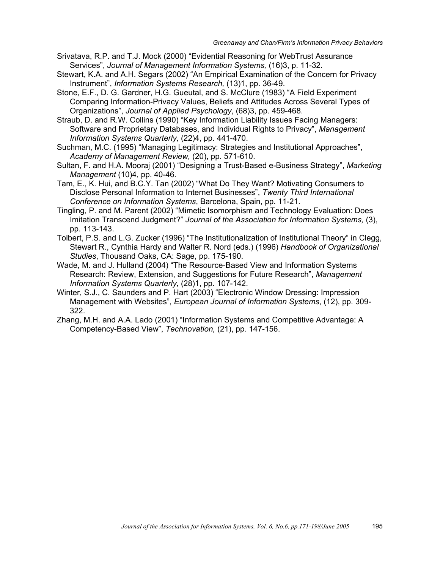- Srivatava, R.P. and T.J. Mock (2000) "Evidential Reasoning for WebTrust Assurance Services", *Journal of Management Information Systems,* (16)3, p. 11-32.
- Stewart, K.A. and A.H. Segars (2002) "An Empirical Examination of the Concern for Privacy Instrument", *Information Systems Research,* (13)1, pp. 36-49.
- Stone, E.F., D. G. Gardner, H.G. Gueutal, and S. McClure (1983) "A Field Experiment Comparing Information-Privacy Values, Beliefs and Attitudes Across Several Types of Organizations", *Journal of Applied Psychology*, (68)3, pp. 459-468.
- Straub, D. and R.W. Collins (1990) "Key Information Liability Issues Facing Managers: Software and Proprietary Databases, and Individual Rights to Privacy", *Management Information Systems Quarterly,* (22)4, pp. 441-470.
- Suchman, M.C. (1995) "Managing Legitimacy: Strategies and Institutional Approaches", *Academy of Management Review,* (20), pp. 571-610.
- Sultan, F. and H.A. Mooraj (2001) "Designing a Trust-Based e-Business Strategy", *Marketing Management* (10)4, pp. 40-46.
- Tam, E., K. Hui, and B.C.Y. Tan (2002) "What Do They Want? Motivating Consumers to Disclose Personal Information to Internet Businesses", *Twenty Third International Conference on Information Systems*, Barcelona, Spain, pp. 11-21.
- Tingling, P. and M. Parent (2002) "Mimetic Isomorphism and Technology Evaluation: Does Imitation Transcend Judgment?" *Journal of the Association for Information Systems,* (3), pp. 113-143.
- Tolbert, P.S. and L.G. Zucker (1996) "The Institutionalization of Institutional Theory" in Clegg, Stewart R., Cynthia Hardy and Walter R. Nord (eds.) (1996) *Handbook of Organizational Studies*, Thousand Oaks, CA: Sage, pp. 175-190.
- Wade, M. and J. Hulland (2004) "The Resource-Based View and Information Systems Research: Review, Extension, and Suggestions for Future Research", *Management Information Systems Quarterly,* (28)1, pp. 107-142.
- Winter, S.J., C. Saunders and P. Hart (2003) "Electronic Window Dressing: Impression Management with Websites", *European Journal of Information Systems*, (12), pp. 309- 322.
- Zhang, M.H. and A.A. Lado (2001) "Information Systems and Competitive Advantage: A Competency-Based View", *Technovation,* (21), pp. 147-156.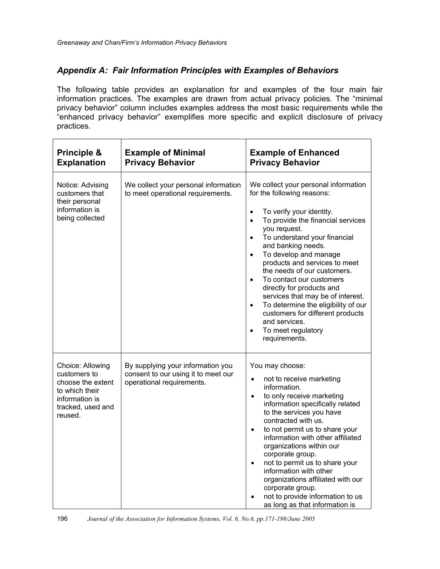# *Appendix A: Fair Information Principles with Examples of Behaviors*

The following table provides an explanation for and examples of the four main fair information practices. The examples are drawn from actual privacy policies. The "minimal privacy behavior" column includes examples address the most basic requirements while the "enhanced privacy behavior" exemplifies more specific and explicit disclosure of privacy practices.

| Principle &<br><b>Explanation</b>                                                                                         | <b>Example of Minimal</b><br><b>Privacy Behavior</b>                                                  | <b>Example of Enhanced</b><br><b>Privacy Behavior</b>                                                                                                                                                                                                                                                                                                                                                                                                                                                                                                                                                                          |
|---------------------------------------------------------------------------------------------------------------------------|-------------------------------------------------------------------------------------------------------|--------------------------------------------------------------------------------------------------------------------------------------------------------------------------------------------------------------------------------------------------------------------------------------------------------------------------------------------------------------------------------------------------------------------------------------------------------------------------------------------------------------------------------------------------------------------------------------------------------------------------------|
| Notice: Advising<br>customers that<br>their personal<br>information is<br>being collected                                 | We collect your personal information<br>to meet operational requirements.                             | We collect your personal information<br>for the following reasons:<br>To verify your identity.<br>$\bullet$<br>To provide the financial services<br>$\bullet$<br>you request.<br>To understand your financial<br>$\bullet$<br>and banking needs.<br>To develop and manage<br>$\bullet$<br>products and services to meet<br>the needs of our customers.<br>To contact our customers<br>$\bullet$<br>directly for products and<br>services that may be of interest.<br>To determine the eligibility of our<br>$\bullet$<br>customers for different products<br>and services.<br>To meet regulatory<br>$\bullet$<br>requirements. |
| Choice: Allowing<br>customers to<br>choose the extent<br>to which their<br>information is<br>tracked, used and<br>reused. | By supplying your information you<br>consent to our using it to meet our<br>operational requirements. | You may choose:<br>not to receive marketing<br>$\bullet$<br>information.<br>to only receive marketing<br>$\bullet$<br>information specifically related<br>to the services you have<br>contracted with us.<br>to not permit us to share your<br>$\bullet$<br>information with other affiliated<br>organizations within our<br>corporate group.<br>not to permit us to share your<br>$\bullet$<br>information with other<br>organizations affiliated with our<br>corporate group.<br>not to provide information to us<br>as long as that information is                                                                          |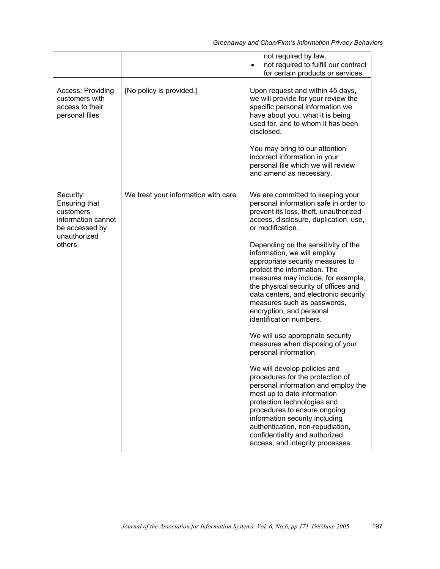|                                                                                                                  |                                      | not required by law.<br>not required to fulfill our contract<br>$\bullet$<br>for certain products or services.                                                                                                                                                                                                                                                                                                                                                                                                                                                                                                                                                                                                                                                                                                                                                                                                                                                                              |
|------------------------------------------------------------------------------------------------------------------|--------------------------------------|---------------------------------------------------------------------------------------------------------------------------------------------------------------------------------------------------------------------------------------------------------------------------------------------------------------------------------------------------------------------------------------------------------------------------------------------------------------------------------------------------------------------------------------------------------------------------------------------------------------------------------------------------------------------------------------------------------------------------------------------------------------------------------------------------------------------------------------------------------------------------------------------------------------------------------------------------------------------------------------------|
| <b>Access: Providing</b><br>customers with<br>access to their<br>personal files                                  | [No policy is provided.]             | Upon request and within 45 days,<br>we will provide for your review the<br>specific personal information we<br>have about you, what it is being<br>used for, and to whom it has been<br>disclosed.<br>You may bring to our attention<br>incorrect information in your<br>personal file which we will review<br>and amend as necessary.                                                                                                                                                                                                                                                                                                                                                                                                                                                                                                                                                                                                                                                      |
| Security:<br><b>Ensuring that</b><br>customers<br>information cannot<br>be accessed by<br>unauthorized<br>others | We treat your information with care. | We are committed to keeping your<br>personal information safe in order to<br>prevent its loss, theft, unauthorized<br>access, disclosure, duplication, use,<br>or modification.<br>Depending on the sensitivity of the<br>information, we will employ<br>appropriate security measures to<br>protect the information. The<br>measures may include, for example,<br>the physical security of offices and<br>data centers, and electronic security<br>measures such as passwords,<br>encryption, and personal<br>identification numbers.<br>We will use appropriate security<br>measures when disposing of your<br>personal information.<br>We will develop policies and<br>procedures for the protection of<br>personal information and employ the<br>most up to date information<br>protection technologies and<br>procedures to ensure ongoing<br>information security including<br>authentication, non-repudiation,<br>confidentiality and authorized<br>access, and integrity processes. |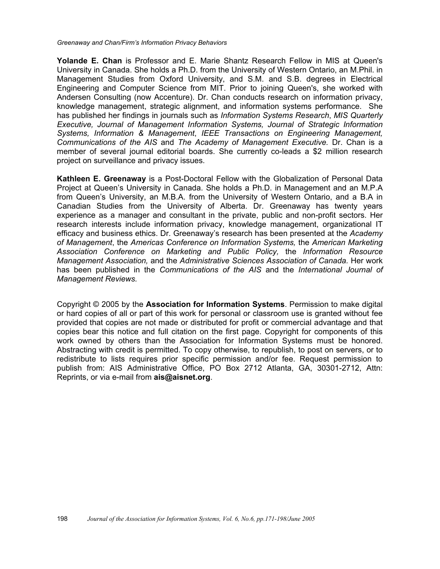**Yolande E. Chan** is Professor and E. Marie Shantz Research Fellow in MIS at Queen's University in Canada. She holds a Ph.D. from the University of Western Ontario, an M.Phil. in Management Studies from Oxford University, and S.M. and S.B. degrees in Electrical Engineering and Computer Science from MIT. Prior to joining Queen's, she worked with Andersen Consulting (now Accenture). Dr. Chan conducts research on information privacy, knowledge management, strategic alignment, and information systems performance. She has published her findings in journals such as *Information Systems Research*, *MIS Quarterly Executive, Journal of Management Information Systems, Journal of Strategic Information Systems, Information & Management*, *IEEE Transactions on Engineering Management, Communications of the AIS* and *The Academy of Management Executive.* Dr. Chan is a member of several journal editorial boards. She currently co-leads a \$2 million research project on surveillance and privacy issues.

**Kathleen E. Greenaway** is a Post-Doctoral Fellow with the Globalization of Personal Data Project at Queen's University in Canada. She holds a Ph.D. in Management and an M.P.A from Queen's University, an M.B.A. from the University of Western Ontario, and a B.A in Canadian Studies from the University of Alberta. Dr. Greenaway has twenty years experience as a manager and consultant in the private, public and non-profit sectors. Her research interests include information privacy, knowledge management, organizational IT efficacy and business ethics. Dr. Greenaway's research has been presented at the *Academy of Management*, the *Americas Conference on Information Systems,* the *American Marketing Association Conference on Marketing and Public Policy,* the *Information Resource Management Association,* and the *Administrative Sciences Association of Canada.* Her work has been published in the *Communications of the AIS* and the *International Journal of Management Reviews.*

Copyright © 2005 by the **Association for Information Systems**. Permission to make digital or hard copies of all or part of this work for personal or classroom use is granted without fee provided that copies are not made or distributed for profit or commercial advantage and that copies bear this notice and full citation on the first page. Copyright for components of this work owned by others than the Association for Information Systems must be honored. Abstracting with credit is permitted. To copy otherwise, to republish, to post on servers, or to redistribute to lists requires prior specific permission and/or fee. Request permission to publish from: AIS Administrative Office, PO Box 2712 Atlanta, GA, 30301-2712, Attn: Reprints, or via e-mail from **ais@aisnet.org**.